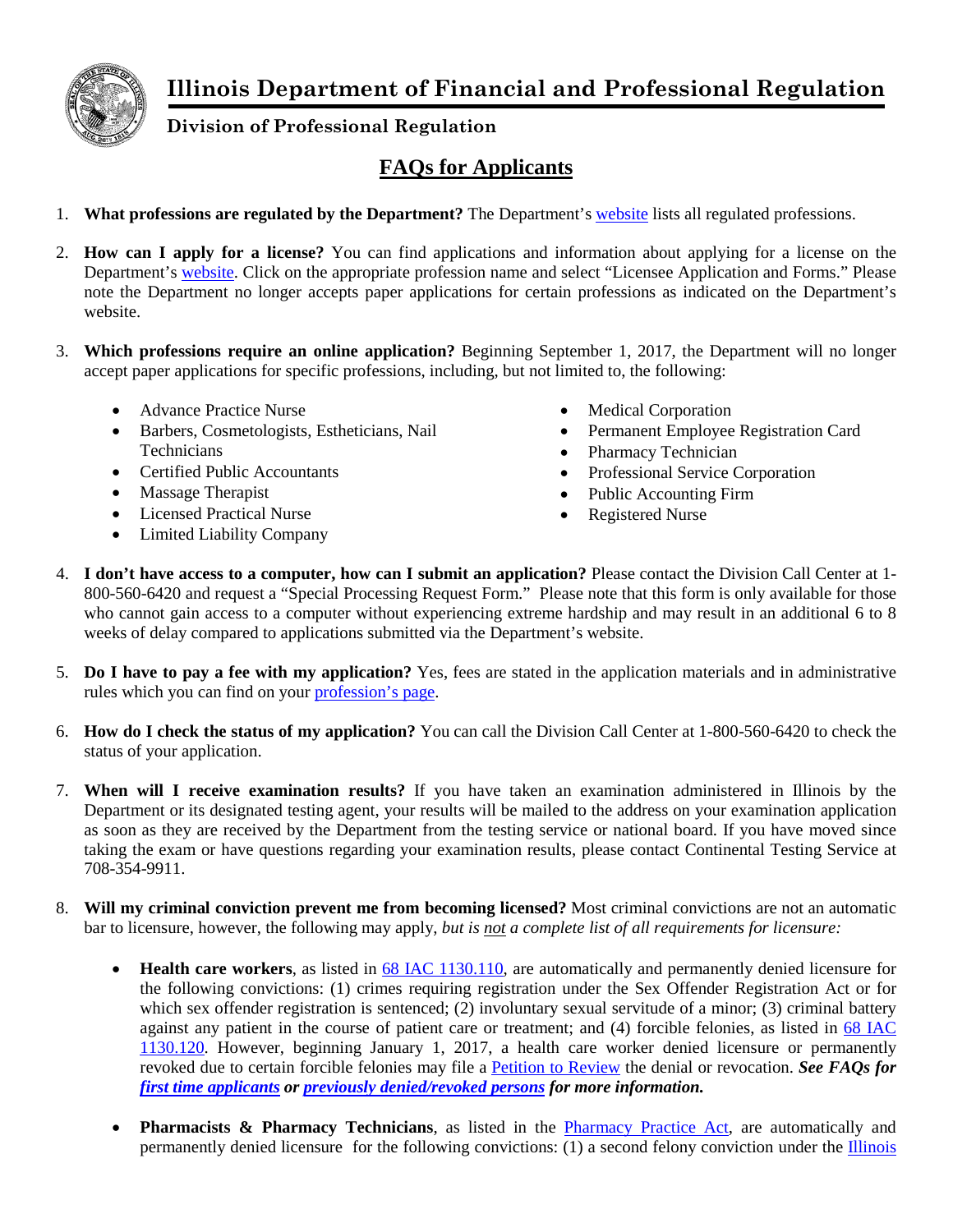

**Illinois Department of Financial and Professional Regulation**

**Division of Professional Regulation**

## **FAQs for Applicants**

- 1. **What professions are regulated by the Department?** The Department's [website](http://www.idfpr.com/profs/proflist.asp) lists all regulated professions.
- 2. **How can I apply for a license?** You can find applications and information about applying for a license on the Department's [website.](http://www.idfpr.com/profs/proflist.asp) Click on the appropriate profession name and select "Licensee Application and Forms." Please note the Department no longer accepts paper applications for certain professions as indicated on the Department's website.
- 3. **Which professions require an online application?** Beginning September 1, 2017, the Department will no longer accept paper applications for specific professions, including, but not limited to, the following:
	- Advance Practice Nurse
	- Barbers, Cosmetologists, Estheticians, Nail **Technicians**
	- Certified Public Accountants
	- Massage Therapist
	- Licensed Practical Nurse
	- Limited Liability Company
- Medical Corporation
- Permanent Employee Registration Card
- Pharmacy Technician
- Professional Service Corporation
- Public Accounting Firm
- Registered Nurse
- 4. **I don't have access to a computer, how can I submit an application?** Please contact the Division Call Center at 1- 800-560-6420 and request a "Special Processing Request Form." Please note that this form is only available for those who cannot gain access to a computer without experiencing extreme hardship and may result in an additional 6 to 8 weeks of delay compared to applications submitted via the Department's website.
- 5. **Do I have to pay a fee with my application?** Yes, fees are stated in the application materials and in administrative rules which you can find on your [profession's](http://www.idfpr.com/profs/proflist.asp) page.
- 6. **How do I check the status of my application?** You can call the Division Call Center at 1-800-560-6420 to check the status of your application.
- 7. **When will I receive examination results?** If you have taken an examination administered in Illinois by the Department or its designated testing agent, your results will be mailed to the address on your examination application as soon as they are received by the Department from the testing service or national board. If you have moved since taking the exam or have questions regarding your examination results, please contact Continental Testing Service at 708-354-9911.
- 8. **Will my criminal conviction prevent me from becoming licensed?** Most criminal convictions are not an automatic bar to licensure, however, the following may apply, *but is not a complete list of all requirements for licensure:*
	- **Health care workers**, as listed in [68 IAC 1130.110,](http://www.ilga.gov/commission/jcar/admincode/068/068011300C01100R.html) are automatically and permanently denied licensure for the following convictions: (1) crimes requiring registration under the Sex Offender Registration Act or for which sex offender registration is sentenced; (2) involuntary sexual servitude of a minor; (3) criminal battery against any patient in the course of patient care or treatment; and (4) forcible felonies, as listed in [68 IAC](http://www.ilga.gov/commission/jcar/admincode/068/068011300C01200R.html)  [1130.120.](http://www.ilga.gov/commission/jcar/admincode/068/068011300C01200R.html) However, beginning January 1, 2017, a health care worker denied licensure or permanently revoked due to certain forcible felonies may file a [Petition to Review](http://www.idfpr.com/Renewals/apply/Forms/F2306.pdf) the denial or revocation. *See FAQs for [first time applicants](http://www.idfpr.com/FAQ/DPR/ForcibleFelonyPetitionNewAppsFAQ.pdf) or [previously denied/revoked persons](http://www.idfpr.com/FAQ/DPR/ForcibleFelonyPetitionPriorAppsFAQ.pdf) for more information.*
	- **Pharmacists & Pharmacy Technicians**, as listed in the [Pharmacy Practice Act,](http://ilga.gov/legislation/ilcs/ilcs3.asp?ActID=1318&ChapAct=225%26nbsp%3BILCS%26nbsp%3B85%2F&ChapterID=24&ChapterName=PROFESSIONS+AND+OCCUPATIONS&ActName=Pharmacy+Practice+Act%2E) are automatically and permanently denied licensure for the following convictions: (1) a second felony conviction under the [Illinois](http://www.ilga.gov/legislation/ilcs/ilcs5.asp?ActID=1941)